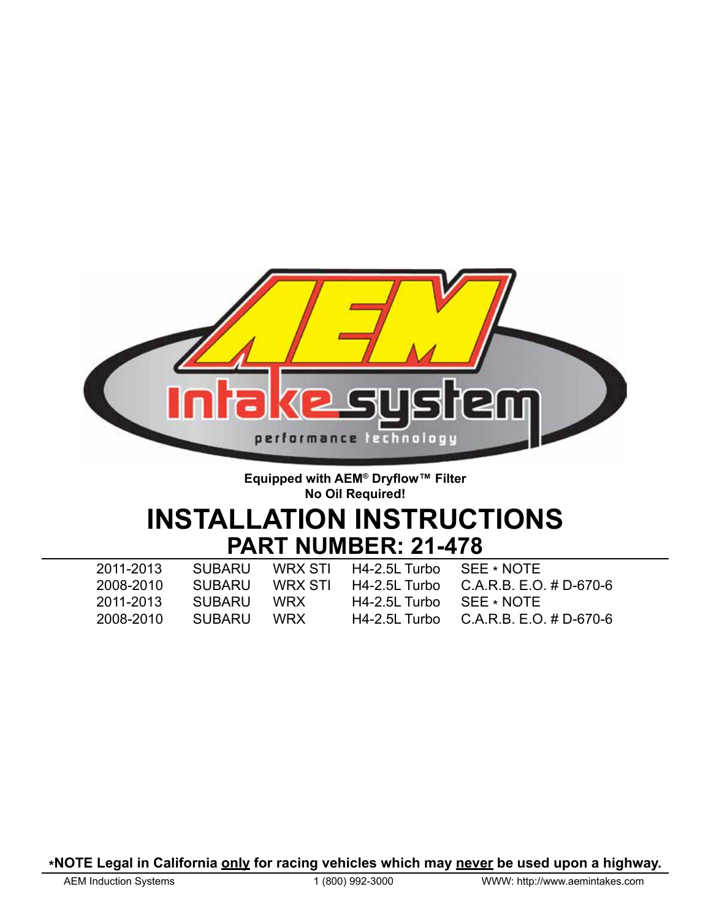

## **Equipped with AEM® Dryflow™ Filter No Oil Required!**

# **INSTALLATION INSTRUCTIONS PART NUMBER: 21-478**

| 2011-2013 |            | SUBARU WRX STI H4-2.5L Turbo SEE ∗ NOTE |                                                      |
|-----------|------------|-----------------------------------------|------------------------------------------------------|
| 2008-2010 |            |                                         | SUBARU WRX STI H4-2.5L Turbo C.A.R.B. E.O. # D-670-6 |
| 2011-2013 | SUBARU WRX | $H4-2.5L$ Turbo $SEE * NOTE$            |                                                      |
| 2008-2010 | SUBARU WRX |                                         | H4-2.5L Turbo $C.A.R.B. E.O. \# D-670-6$             |

**\*NOTE Legal in California <u>only</u> for racing vehicles which may never be used upon a highway.<br>AEM Induction Systems 1 (800) 992-3000 WWW: http://www.aemintakes.com**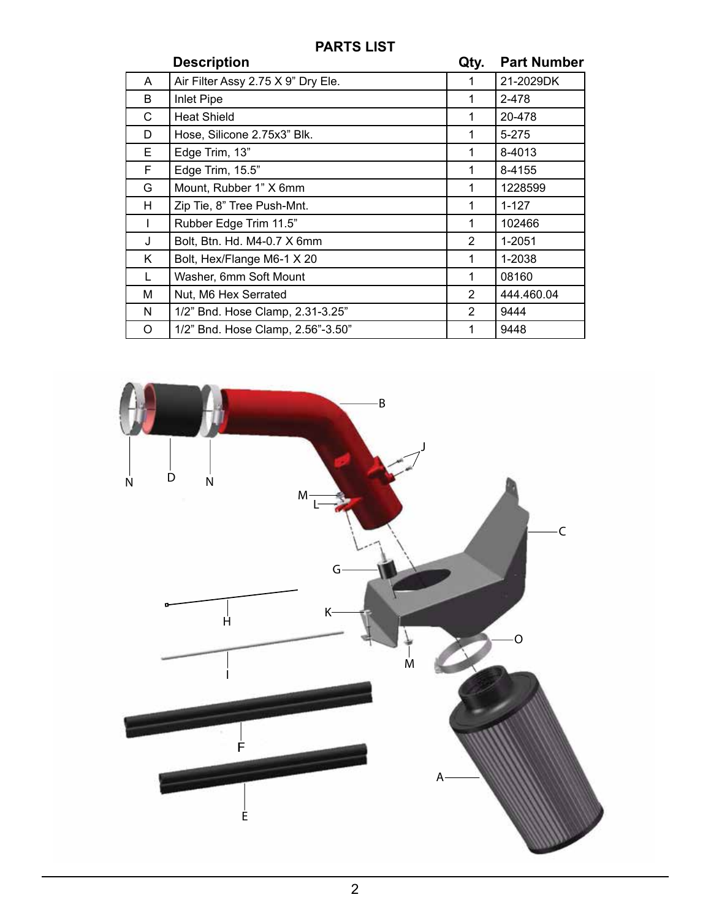# **PARTS LIST**

|              | <b>Description</b>                 | Qty.          | <b>Part Number</b> |
|--------------|------------------------------------|---------------|--------------------|
| A            | Air Filter Assy 2.75 X 9" Dry Ele. | 1             | 21-2029DK          |
| B            | Inlet Pipe                         | 1             | 2-478              |
| С            | <b>Heat Shield</b>                 | 1             | 20-478             |
| D            | Hose, Silicone 2.75x3" Blk.        | 1             | $5 - 275$          |
| E.           | Edge Trim, 13"                     | 1             | 8-4013             |
| F            | Edge Trim, 15.5"                   | 1             | 8-4155             |
| G            | Mount, Rubber 1" X 6mm             | 1             | 1228599            |
| H            | Zip Tie, 8" Tree Push-Mnt.         | 1             | $1 - 127$          |
|              | Rubber Edge Trim 11.5"             | 1             | 102466             |
| $\mathbf{I}$ | Bolt, Btn. Hd. M4-0.7 X 6mm        | 2             | 1-2051             |
| K.           | Bolt, Hex/Flange M6-1 X 20         | 1             | 1-2038             |
| L            | Washer, 6mm Soft Mount             | 1             | 08160              |
| м            | Nut, M6 Hex Serrated               | $\mathcal{P}$ | 444.460.04         |
| N            | 1/2" Bnd. Hose Clamp, 2.31-3.25"   | 2             | 9444               |
| O            | 1/2" Bnd. Hose Clamp, 2.56"-3.50"  | 1             | 9448               |

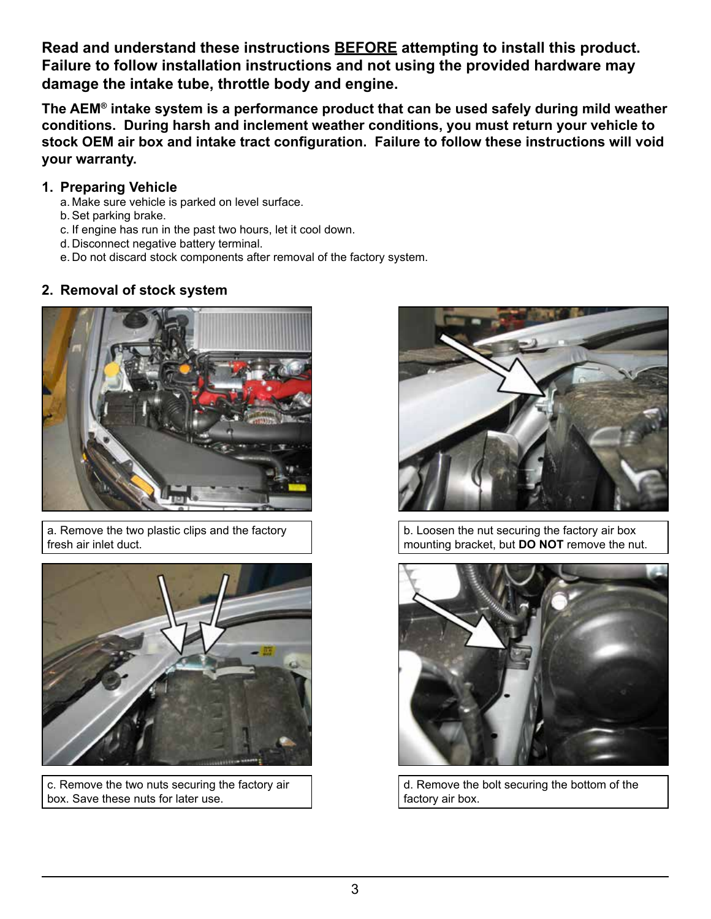**Read and understand these instructions BEFORE attempting to install this product. Failure to follow installation instructions and not using the provided hardware may damage the intake tube, throttle body and engine.**

**The AEM® intake system is a performance product that can be used safely during mild weather conditions. During harsh and inclement weather conditions, you must return your vehicle to stock OEM air box and intake tract configuration. Failure to follow these instructions will void your warranty.**

## **1. Preparing Vehicle**

- a. Make sure vehicle is parked on level surface.
- b.Set parking brake.
- c. If engine has run in the past two hours, let it cool down.
- d. Disconnect negative battery terminal.
- e. Do not discard stock components after removal of the factory system.

## **2. Removal of stock system**



a. Remove the two plastic clips and the factory fresh air inlet duct.



c. Remove the two nuts securing the factory air box. Save these nuts for later use.



b. Loosen the nut securing the factory air box mounting bracket, but **DO NOT** remove the nut.



d. Remove the bolt securing the bottom of the factory air box.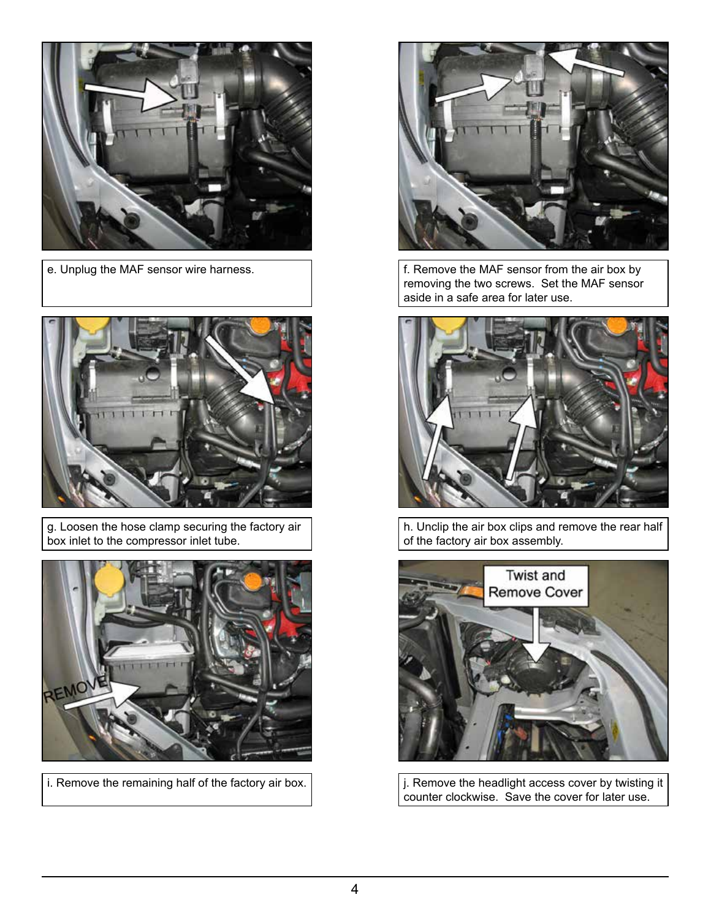



g. Loosen the hose clamp securing the factory air box inlet to the compressor inlet tube.





e. Unplug the MAF sensor wire harness.  $\parallel$  f. Remove the MAF sensor from the air box by removing the two screws. Set the MAF sensor aside in a safe area for later use.



h. Unclip the air box clips and remove the rear half of the factory air box assembly.



i. Remove the remaining half of the factory air box.  $\vert$   $\vert$  Remove the headlight access cover by twisting it counter clockwise. Save the cover for later use.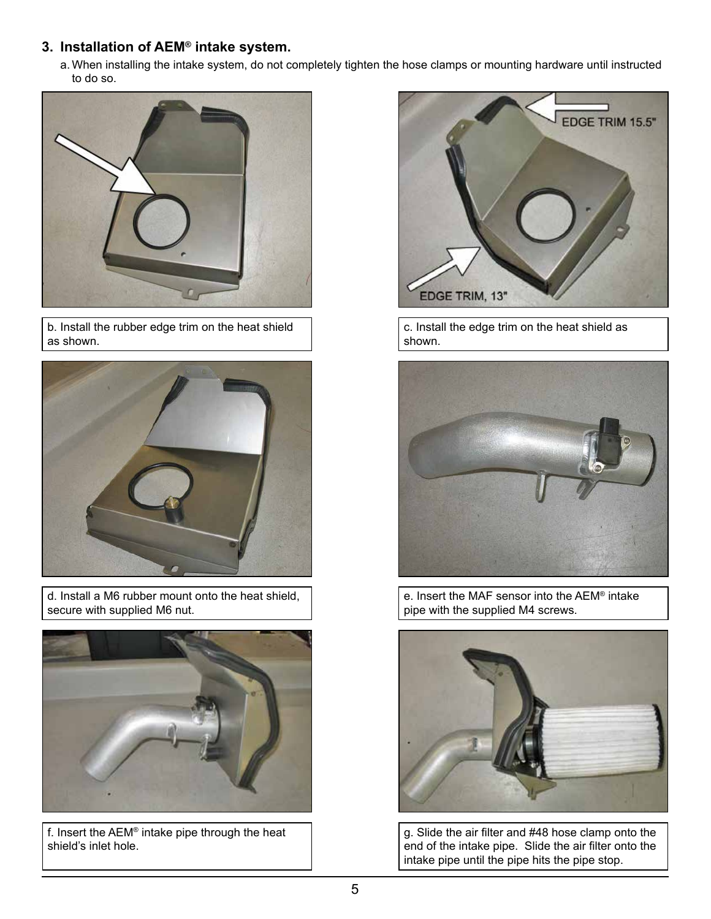# **3. Installation of AEM® intake system.**

a. When installing the intake system, do not completely tighten the hose clamps or mounting hardware until instructed to do so.



b. Install the rubber edge trim on the heat shield as shown.



d. Install a M6 rubber mount onto the heat shield, secure with supplied M6 nut.



f. Insert the AEM® intake pipe through the heat shield's inlet hole.



c. Install the edge trim on the heat shield as shown.



e. Insert the MAF sensor into the AEM® intake pipe with the supplied M4 screws.



g. Slide the air filter and #48 hose clamp onto the end of the intake pipe. Slide the air filter onto the intake pipe until the pipe hits the pipe stop.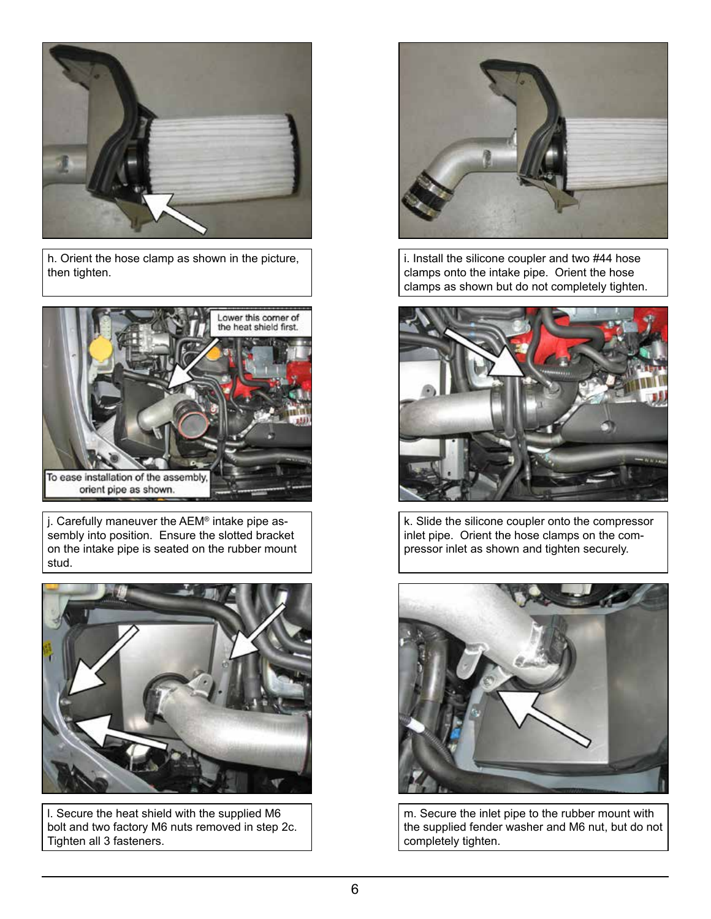

h. Orient the hose clamp as shown in the picture, then tighten.



j. Carefully maneuver the AEM® intake pipe assembly into position. Ensure the slotted bracket on the intake pipe is seated on the rubber mount stud.



l. Secure the heat shield with the supplied M6 bolt and two factory M6 nuts removed in step 2c. Tighten all 3 fasteners.



i. Install the silicone coupler and two #44 hose clamps onto the intake pipe. Orient the hose clamps as shown but do not completely tighten.



k. Slide the silicone coupler onto the compressor inlet pipe. Orient the hose clamps on the compressor inlet as shown and tighten securely.



m. Secure the inlet pipe to the rubber mount with the supplied fender washer and M6 nut, but do not completely tighten.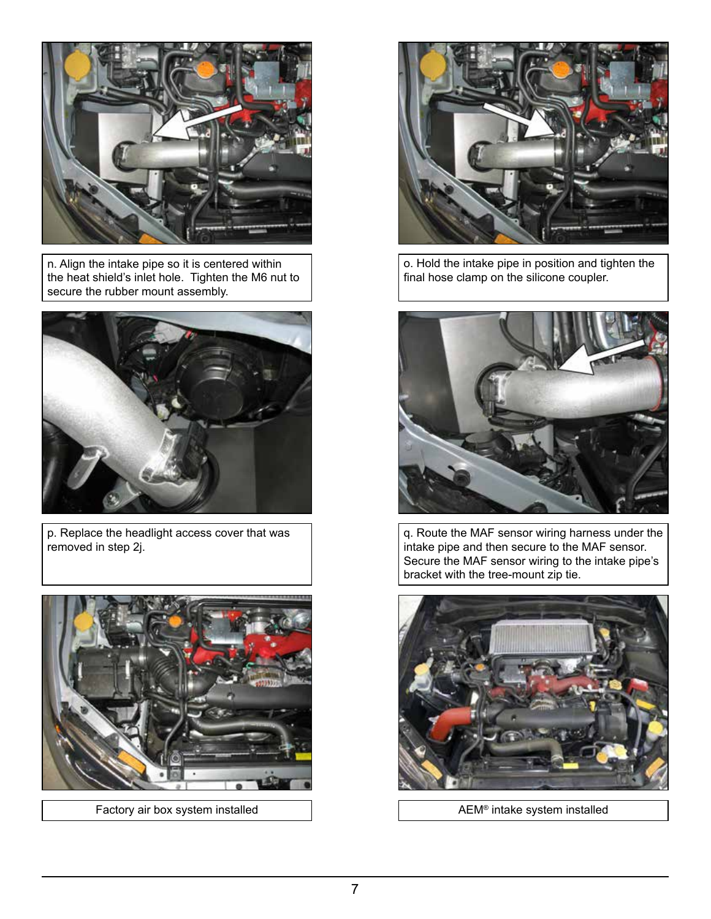

n. Align the intake pipe so it is centered within the heat shield's inlet hole. Tighten the M6 nut to secure the rubber mount assembly.



p. Replace the headlight access cover that was removed in step 2j.



Factory air box system installed  $\parallel$  AEM® intake system installed



o. Hold the intake pipe in position and tighten the final hose clamp on the silicone coupler.



q. Route the MAF sensor wiring harness under the intake pipe and then secure to the MAF sensor. Secure the MAF sensor wiring to the intake pipe's bracket with the tree-mount zip tie.